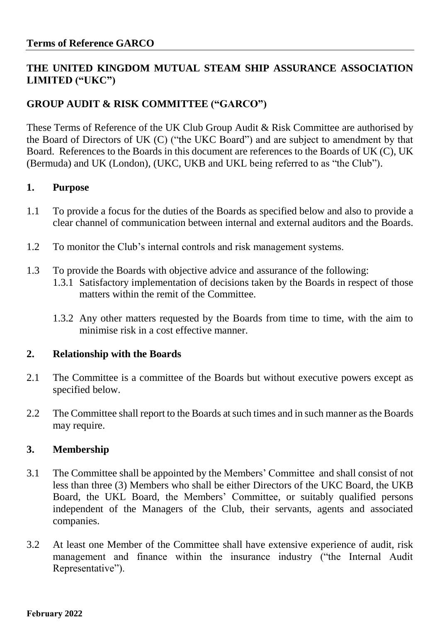## **THE UNITED KINGDOM MUTUAL STEAM SHIP ASSURANCE ASSOCIATION LIMITED ("UKC")**

# **GROUP AUDIT & RISK COMMITTEE ("GARCO")**

These Terms of Reference of the UK Club Group Audit & Risk Committee are authorised by the Board of Directors of UK (C) ("the UKC Board") and are subject to amendment by that Board. References to the Boards in this document are references to the Boards of UK (C), UK (Bermuda) and UK (London), (UKC, UKB and UKL being referred to as "the Club").

### **1. Purpose**

- 1.1 To provide a focus for the duties of the Boards as specified below and also to provide a clear channel of communication between internal and external auditors and the Boards.
- 1.2 To monitor the Club's internal controls and risk management systems.
- 1.3 To provide the Boards with objective advice and assurance of the following:
	- 1.3.1 Satisfactory implementation of decisions taken by the Boards in respect of those matters within the remit of the Committee.
		- 1.3.2 Any other matters requested by the Boards from time to time, with the aim to minimise risk in a cost effective manner.

### **2. Relationship with the Boards**

- 2.1 The Committee is a committee of the Boards but without executive powers except as specified below.
- 2.2 The Committee shall report to the Boards at such times and in such manner as the Boards may require.

## **3. Membership**

- 3.1 The Committee shall be appointed by the Members' Committee and shall consist of not less than three (3) Members who shall be either Directors of the UKC Board, the UKB Board, the UKL Board, the Members' Committee, or suitably qualified persons independent of the Managers of the Club, their servants, agents and associated companies.
- 3.2 At least one Member of the Committee shall have extensive experience of audit, risk management and finance within the insurance industry ("the Internal Audit Representative").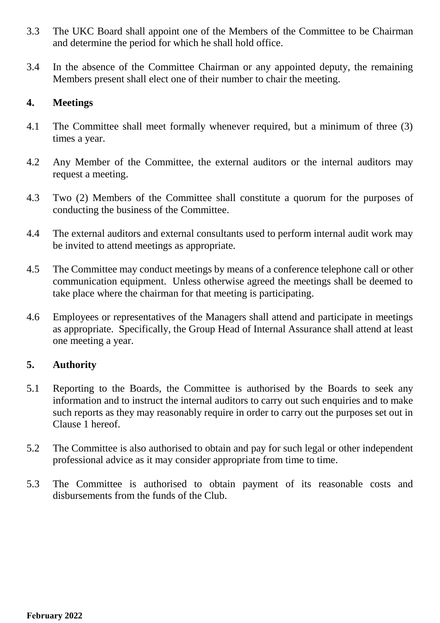- 3.3 The UKC Board shall appoint one of the Members of the Committee to be Chairman and determine the period for which he shall hold office.
- 3.4 In the absence of the Committee Chairman or any appointed deputy, the remaining Members present shall elect one of their number to chair the meeting.

### **4. Meetings**

- 4.1 The Committee shall meet formally whenever required, but a minimum of three (3) times a year.
- 4.2 Any Member of the Committee, the external auditors or the internal auditors may request a meeting.
- 4.3 Two (2) Members of the Committee shall constitute a quorum for the purposes of conducting the business of the Committee.
- 4.4 The external auditors and external consultants used to perform internal audit work may be invited to attend meetings as appropriate.
- 4.5 The Committee may conduct meetings by means of a conference telephone call or other communication equipment. Unless otherwise agreed the meetings shall be deemed to take place where the chairman for that meeting is participating.
- 4.6 Employees or representatives of the Managers shall attend and participate in meetings as appropriate. Specifically, the Group Head of Internal Assurance shall attend at least one meeting a year.

## **5. Authority**

- 5.1 Reporting to the Boards, the Committee is authorised by the Boards to seek any information and to instruct the internal auditors to carry out such enquiries and to make such reports as they may reasonably require in order to carry out the purposes set out in Clause 1 hereof.
- 5.2 The Committee is also authorised to obtain and pay for such legal or other independent professional advice as it may consider appropriate from time to time.
- 5.3 The Committee is authorised to obtain payment of its reasonable costs and disbursements from the funds of the Club.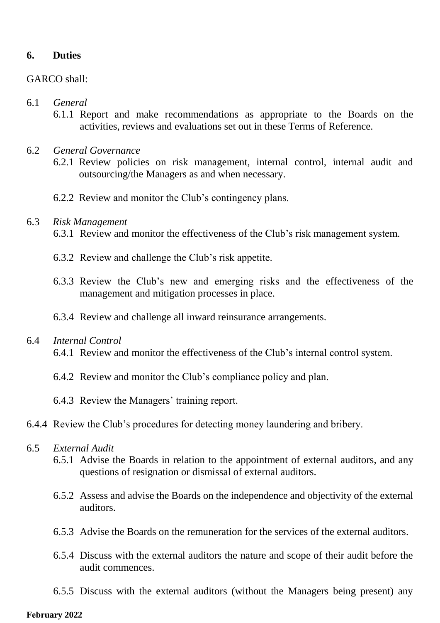### **6. Duties**

### GARCO shall:

### 6.1 *General*

- 6.1.1 Report and make recommendations as appropriate to the Boards on the activities, reviews and evaluations set out in these Terms of Reference.
- 6.2 *General Governance*
	- 6.2.1 Review policies on risk management, internal control, internal audit and outsourcing/the Managers as and when necessary.
	- 6.2.2 Review and monitor the Club's contingency plans.

### 6.3 *Risk Management*

- 6.3.1 Review and monitor the effectiveness of the Club's risk management system.
- 6.3.2 Review and challenge the Club's risk appetite.
- 6.3.3 Review the Club's new and emerging risks and the effectiveness of the management and mitigation processes in place.
- 6.3.4 Review and challenge all inward reinsurance arrangements.

### 6.4 *Internal Control*

- 6.4.1 Review and monitor the effectiveness of the Club's internal control system.
- 6.4.2 Review and monitor the Club's compliance policy and plan.
- 6.4.3 Review the Managers' training report.
- 6.4.4 Review the Club's procedures for detecting money laundering and bribery.

#### 6.5 *External Audit*

- 6.5.1 Advise the Boards in relation to the appointment of external auditors, and any questions of resignation or dismissal of external auditors.
- 6.5.2 Assess and advise the Boards on the independence and objectivity of the external auditors.
- 6.5.3 Advise the Boards on the remuneration for the services of the external auditors.
- 6.5.4 Discuss with the external auditors the nature and scope of their audit before the audit commences.
- 6.5.5 Discuss with the external auditors (without the Managers being present) any

#### **February 2022**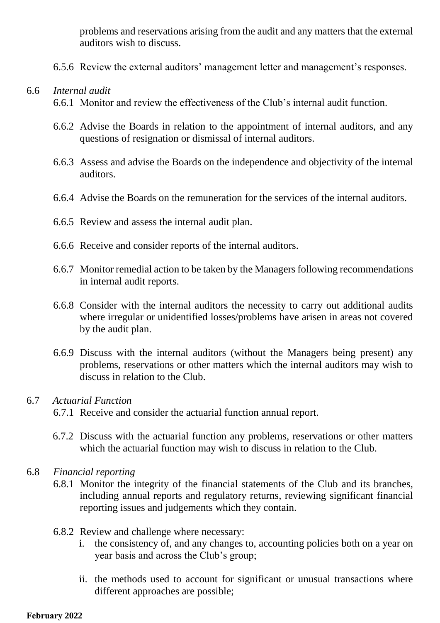problems and reservations arising from the audit and any matters that the external auditors wish to discuss.

6.5.6 Review the external auditors' management letter and management's responses.

### 6.6 *Internal audit*

- 6.6.1 Monitor and review the effectiveness of the Club's internal audit function.
- 6.6.2 Advise the Boards in relation to the appointment of internal auditors, and any questions of resignation or dismissal of internal auditors.
- 6.6.3 Assess and advise the Boards on the independence and objectivity of the internal auditors.
- 6.6.4 Advise the Boards on the remuneration for the services of the internal auditors.
- 6.6.5 Review and assess the internal audit plan.
- 6.6.6 Receive and consider reports of the internal auditors.
- 6.6.7 Monitor remedial action to be taken by the Managers following recommendations in internal audit reports.
- 6.6.8 Consider with the internal auditors the necessity to carry out additional audits where irregular or unidentified losses/problems have arisen in areas not covered by the audit plan.
- 6.6.9 Discuss with the internal auditors (without the Managers being present) any problems, reservations or other matters which the internal auditors may wish to discuss in relation to the Club.

### 6.7 *Actuarial Function*

6.7.1 Receive and consider the actuarial function annual report.

- 6.7.2 Discuss with the actuarial function any problems, reservations or other matters which the actuarial function may wish to discuss in relation to the Club.
- 6.8 *Financial reporting* 
	- 6.8.1 Monitor the integrity of the financial statements of the Club and its branches, including annual reports and regulatory returns, reviewing significant financial reporting issues and judgements which they contain.
	- 6.8.2 Review and challenge where necessary:
		- i. the consistency of, and any changes to, accounting policies both on a year on year basis and across the Club's group;
		- ii. the methods used to account for significant or unusual transactions where different approaches are possible;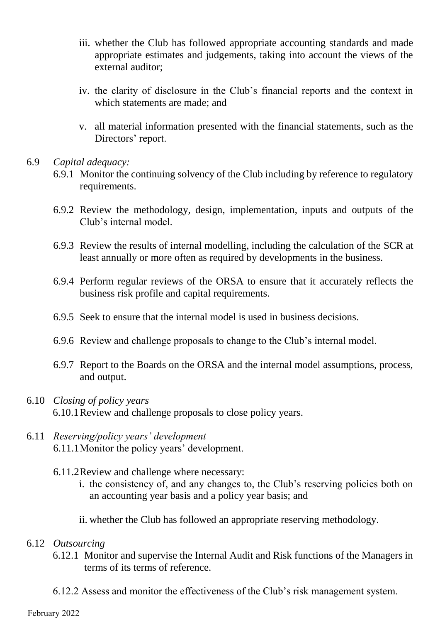- iii. whether the Club has followed appropriate accounting standards and made appropriate estimates and judgements, taking into account the views of the external auditor;
- iv. the clarity of disclosure in the Club's financial reports and the context in which statements are made; and
- v. all material information presented with the financial statements, such as the Directors' report.

### 6.9 *Capital adequacy:*

- 6.9.1 Monitor the continuing solvency of the Club including by reference to regulatory requirements.
- 6.9.2 Review the methodology, design, implementation, inputs and outputs of the Club's internal model.
- 6.9.3 Review the results of internal modelling, including the calculation of the SCR at least annually or more often as required by developments in the business.
- 6.9.4 Perform regular reviews of the ORSA to ensure that it accurately reflects the business risk profile and capital requirements.
- 6.9.5 Seek to ensure that the internal model is used in business decisions.
- 6.9.6 Review and challenge proposals to change to the Club's internal model.
- 6.9.7 Report to the Boards on the ORSA and the internal model assumptions, process, and output.
- 6.10 *Closing of policy years* 6.10.1Review and challenge proposals to close policy years.
- 6.11 *Reserving/policy years' development* 6.11.1Monitor the policy years' development.
	- 6.11.2Review and challenge where necessary:
		- i. the consistency of, and any changes to, the Club's reserving policies both on an accounting year basis and a policy year basis; and
		- ii. whether the Club has followed an appropriate reserving methodology.

### 6.12 *Outsourcing*

- 6.12.1 Monitor and supervise the Internal Audit and Risk functions of the Managers in terms of its terms of reference.
- 6.12.2 Assess and monitor the effectiveness of the Club's risk management system.

#### February 2022